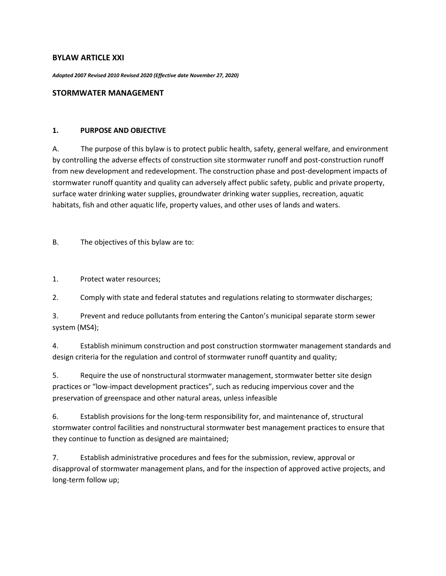## **BYLAW ARTICLE XXI**

*Adopted 2007 Revised 2010 Revised 2020 (Effective date November 27, 2020)*

### **STORMWATER MANAGEMENT**

#### **1. PURPOSE AND OBJECTIVE**

A. The purpose of this bylaw is to protect public health, safety, general welfare, and environment by controlling the adverse effects of construction site stormwater runoff and post-construction runoff from new development and redevelopment. The construction phase and post-development impacts of stormwater runoff quantity and quality can adversely affect public safety, public and private property, surface water drinking water supplies, groundwater drinking water supplies, recreation, aquatic habitats, fish and other aquatic life, property values, and other uses of lands and waters.

B. The objectives of this bylaw are to:

1. Protect water resources;

2. Comply with state and federal statutes and regulations relating to stormwater discharges;

3. Prevent and reduce pollutants from entering the Canton's municipal separate storm sewer system (MS4);

4. Establish minimum construction and post construction stormwater management standards and design criteria for the regulation and control of stormwater runoff quantity and quality;

5. Require the use of nonstructural stormwater management, stormwater better site design practices or "low-impact development practices", such as reducing impervious cover and the preservation of greenspace and other natural areas, unless infeasible

6. Establish provisions for the long-term responsibility for, and maintenance of, structural stormwater control facilities and nonstructural stormwater best management practices to ensure that they continue to function as designed are maintained;

7. Establish administrative procedures and fees for the submission, review, approval or disapproval of stormwater management plans, and for the inspection of approved active projects, and long-term follow up;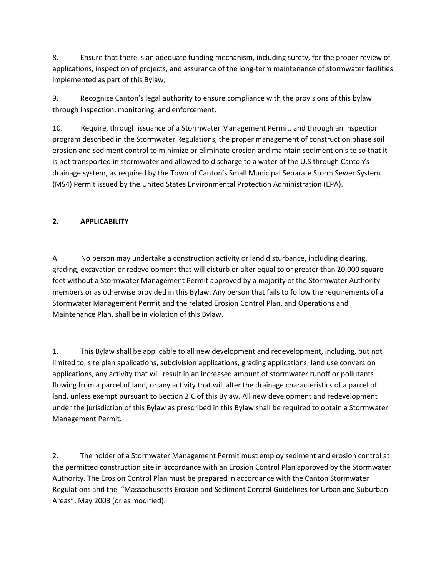8. Ensure that there is an adequate funding mechanism, including surety, for the proper review of applications, inspection of projects, and assurance of the long-term maintenance of stormwater facilities implemented as part of this Bylaw;

9. Recognize Canton's legal authority to ensure compliance with the provisions of this bylaw through inspection, monitoring, and enforcement.

10. Require, through issuance of a Stormwater Management Permit, and through an inspection program described in the Stormwater Regulations, the proper management of construction phase soil erosion and sediment control to minimize or eliminate erosion and maintain sediment on site so that it is not transported in stormwater and allowed to discharge to a water of the U.S through Canton's drainage system, as required by the Town of Canton's Small Municipal Separate Storm Sewer System (MS4) Permit issued by the United States Environmental Protection Administration (EPA).

# **2. APPLICABILITY**

A. No person may undertake a construction activity or land disturbance, including clearing, grading, excavation or redevelopment that will disturb or alter equal to or greater than 20,000 square feet without a Stormwater Management Permit approved by a majority of the Stormwater Authority members or as otherwise provided in this Bylaw. Any person that fails to follow the requirements of a Stormwater Management Permit and the related Erosion Control Plan, and Operations and Maintenance Plan, shall be in violation of this Bylaw.

1. This Bylaw shall be applicable to all new development and redevelopment, including, but not limited to, site plan applications, subdivision applications, grading applications, land use conversion applications, any activity that will result in an increased amount of stormwater runoff or pollutants flowing from a parcel of land, or any activity that will alter the drainage characteristics of a parcel of land, unless exempt pursuant to Section 2.C of this Bylaw. All new development and redevelopment under the jurisdiction of this Bylaw as prescribed in this Bylaw shall be required to obtain a Stormwater Management Permit.

2. The holder of a Stormwater Management Permit must employ sediment and erosion control at the permitted construction site in accordance with an Erosion Control Plan approved by the Stormwater Authority. The Erosion Control Plan must be prepared in accordance with the Canton Stormwater Regulations and the "Massachusetts Erosion and Sediment Control Guidelines for Urban and Suburban Areas", May 2003 (or as modified).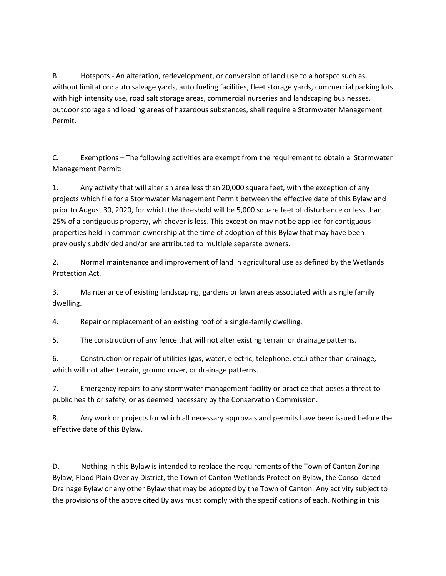B. Hotspots - An alteration, redevelopment, or conversion of land use to a hotspot such as, without limitation: auto salvage yards, auto fueling facilities, fleet storage yards, commercial parking lots with high intensity use, road salt storage areas, commercial nurseries and landscaping businesses, outdoor storage and loading areas of hazardous substances, shall require a Stormwater Management Permit.

C. Exemptions – The following activities are exempt from the requirement to obtain a Stormwater Management Permit:

1. Any activity that will alter an area less than 20,000 square feet, with the exception of any projects which file for a Stormwater Management Permit between the effective date of this Bylaw and prior to August 30, 2020, for which the threshold will be 5,000 square feet of disturbance or less than 25% of a contiguous property, whichever is less. This exception may not be applied for contiguous properties held in common ownership at the time of adoption of this Bylaw that may have been previously subdivided and/or are attributed to multiple separate owners.

2. Normal maintenance and improvement of land in agricultural use as defined by the Wetlands Protection Act.

3. Maintenance of existing landscaping, gardens or lawn areas associated with a single family dwelling.

4. Repair or replacement of an existing roof of a single-family dwelling.

5. The construction of any fence that will not alter existing terrain or drainage patterns.

6. Construction or repair of utilities (gas, water, electric, telephone, etc.) other than drainage, which will not alter terrain, ground cover, or drainage patterns.

7. Emergency repairs to any stormwater management facility or practice that poses a threat to public health or safety, or as deemed necessary by the Conservation Commission.

8. Any work or projects for which all necessary approvals and permits have been issued before the effective date of this Bylaw.

D. Nothing in this Bylaw is intended to replace the requirements of the Town of Canton Zoning Bylaw, Flood Plain Overlay District, the Town of Canton Wetlands Protection Bylaw, the Consolidated Drainage Bylaw or any other Bylaw that may be adopted by the Town of Canton. Any activity subject to the provisions of the above cited Bylaws must comply with the specifications of each. Nothing in this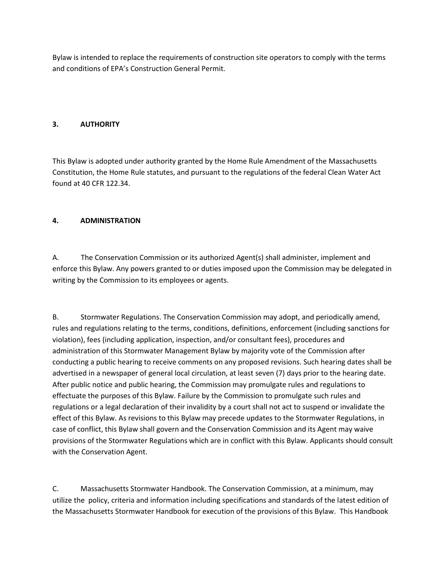Bylaw is intended to replace the requirements of construction site operators to comply with the terms and conditions of EPA's Construction General Permit.

## **3. AUTHORITY**

This Bylaw is adopted under authority granted by the Home Rule Amendment of the Massachusetts Constitution, the Home Rule statutes, and pursuant to the regulations of the federal Clean Water Act found at 40 CFR 122.34.

## **4. ADMINISTRATION**

A. The Conservation Commission or its authorized Agent(s) shall administer, implement and enforce this Bylaw. Any powers granted to or duties imposed upon the Commission may be delegated in writing by the Commission to its employees or agents.

B. Stormwater Regulations. The Conservation Commission may adopt, and periodically amend, rules and regulations relating to the terms, conditions, definitions, enforcement (including sanctions for violation), fees (including application, inspection, and/or consultant fees), procedures and administration of this Stormwater Management Bylaw by majority vote of the Commission after conducting a public hearing to receive comments on any proposed revisions. Such hearing dates shall be advertised in a newspaper of general local circulation, at least seven (7) days prior to the hearing date. After public notice and public hearing, the Commission may promulgate rules and regulations to effectuate the purposes of this Bylaw. Failure by the Commission to promulgate such rules and regulations or a legal declaration of their invalidity by a court shall not act to suspend or invalidate the effect of this Bylaw. As revisions to this Bylaw may precede updates to the Stormwater Regulations, in case of conflict, this Bylaw shall govern and the Conservation Commission and its Agent may waive provisions of the Stormwater Regulations which are in conflict with this Bylaw. Applicants should consult with the Conservation Agent.

C. Massachusetts Stormwater Handbook. The Conservation Commission, at a minimum, may utilize the policy, criteria and information including specifications and standards of the latest edition of the Massachusetts Stormwater Handbook for execution of the provisions of this Bylaw. This Handbook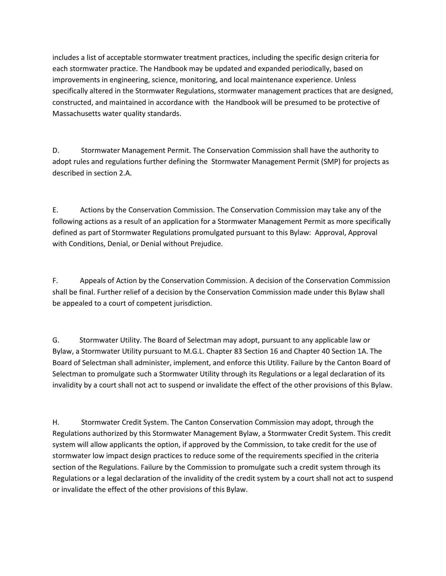includes a list of acceptable stormwater treatment practices, including the specific design criteria for each stormwater practice. The Handbook may be updated and expanded periodically, based on improvements in engineering, science, monitoring, and local maintenance experience. Unless specifically altered in the Stormwater Regulations, stormwater management practices that are designed, constructed, and maintained in accordance with the Handbook will be presumed to be protective of Massachusetts water quality standards.

D. Stormwater Management Permit. The Conservation Commission shall have the authority to adopt rules and regulations further defining the Stormwater Management Permit (SMP) for projects as described in section 2.A.

E. Actions by the Conservation Commission. The Conservation Commission may take any of the following actions as a result of an application for a Stormwater Management Permit as more specifically defined as part of Stormwater Regulations promulgated pursuant to this Bylaw: Approval, Approval with Conditions, Denial, or Denial without Prejudice.

F. Appeals of Action by the Conservation Commission. A decision of the Conservation Commission shall be final. Further relief of a decision by the Conservation Commission made under this Bylaw shall be appealed to a court of competent jurisdiction.

G. Stormwater Utility. The Board of Selectman may adopt, pursuant to any applicable law or Bylaw, a Stormwater Utility pursuant to M.G.L. Chapter 83 Section 16 and Chapter 40 Section 1A. The Board of Selectman shall administer, implement, and enforce this Utility. Failure by the Canton Board of Selectman to promulgate such a Stormwater Utility through its Regulations or a legal declaration of its invalidity by a court shall not act to suspend or invalidate the effect of the other provisions of this Bylaw.

H. Stormwater Credit System. The Canton Conservation Commission may adopt, through the Regulations authorized by this Stormwater Management Bylaw, a Stormwater Credit System. This credit system will allow applicants the option, if approved by the Commission, to take credit for the use of stormwater low impact design practices to reduce some of the requirements specified in the criteria section of the Regulations. Failure by the Commission to promulgate such a credit system through its Regulations or a legal declaration of the invalidity of the credit system by a court shall not act to suspend or invalidate the effect of the other provisions of this Bylaw.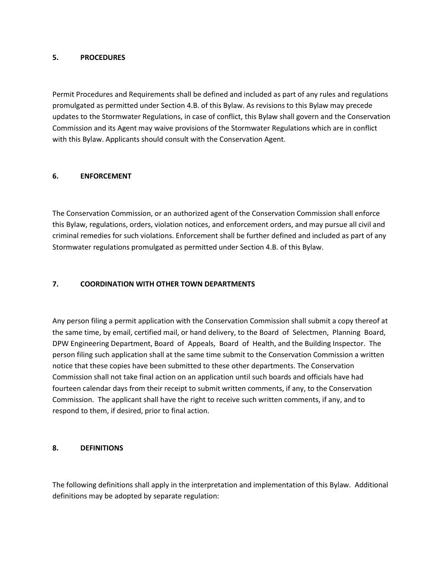#### **5. PROCEDURES**

Permit Procedures and Requirements shall be defined and included as part of any rules and regulations promulgated as permitted under Section 4.B. of this Bylaw. As revisions to this Bylaw may precede updates to the Stormwater Regulations, in case of conflict, this Bylaw shall govern and the Conservation Commission and its Agent may waive provisions of the Stormwater Regulations which are in conflict with this Bylaw. Applicants should consult with the Conservation Agent.

## **6. ENFORCEMENT**

The Conservation Commission, or an authorized agent of the Conservation Commission shall enforce this Bylaw, regulations, orders, violation notices, and enforcement orders, and may pursue all civil and criminal remedies for such violations. Enforcement shall be further defined and included as part of any Stormwater regulations promulgated as permitted under Section 4.B. of this Bylaw.

## **7. COORDINATION WITH OTHER TOWN DEPARTMENTS**

Any person filing a permit application with the Conservation Commission shall submit a copy thereof at the same time, by email, certified mail, or hand delivery, to the Board of Selectmen, Planning Board, DPW Engineering Department, Board of Appeals, Board of Health, and the Building Inspector. The person filing such application shall at the same time submit to the Conservation Commission a written notice that these copies have been submitted to these other departments. The Conservation Commission shall not take final action on an application until such boards and officials have had fourteen calendar days from their receipt to submit written comments, if any, to the Conservation Commission. The applicant shall have the right to receive such written comments, if any, and to respond to them, if desired, prior to final action.

### **8. DEFINITIONS**

The following definitions shall apply in the interpretation and implementation of this Bylaw. Additional definitions may be adopted by separate regulation: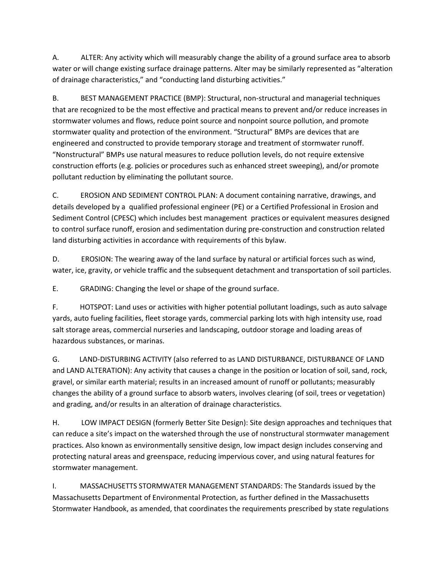A. ALTER: Any activity which will measurably change the ability of a ground surface area to absorb water or will change existing surface drainage patterns. Alter may be similarly represented as "alteration of drainage characteristics," and "conducting land disturbing activities."

B. BEST MANAGEMENT PRACTICE (BMP): Structural, non-structural and managerial techniques that are recognized to be the most effective and practical means to prevent and/or reduce increases in stormwater volumes and flows, reduce point source and nonpoint source pollution, and promote stormwater quality and protection of the environment. "Structural" BMPs are devices that are engineered and constructed to provide temporary storage and treatment of stormwater runoff. "Nonstructural" BMPs use natural measures to reduce pollution levels, do not require extensive construction efforts (e.g. policies or procedures such as enhanced street sweeping), and/or promote pollutant reduction by eliminating the pollutant source.

C. EROSION AND SEDIMENT CONTROL PLAN: A document containing narrative, drawings, and details developed by a qualified professional engineer (PE) or a Certified Professional in Erosion and Sediment Control (CPESC) which includes best management practices or equivalent measures designed to control surface runoff, erosion and sedimentation during pre-construction and construction related land disturbing activities in accordance with requirements of this bylaw.

D. EROSION: The wearing away of the land surface by natural or artificial forces such as wind, water, ice, gravity, or vehicle traffic and the subsequent detachment and transportation of soil particles.

E. GRADING: Changing the level or shape of the ground surface.

F. HOTSPOT: Land uses or activities with higher potential pollutant loadings, such as auto salvage yards, auto fueling facilities, fleet storage yards, commercial parking lots with high intensity use, road salt storage areas, commercial nurseries and landscaping, outdoor storage and loading areas of hazardous substances, or marinas.

G. LAND-DISTURBING ACTIVITY (also referred to as LAND DISTURBANCE, DISTURBANCE OF LAND and LAND ALTERATION): Any activity that causes a change in the position or location of soil, sand, rock, gravel, or similar earth material; results in an increased amount of runoff or pollutants; measurably changes the ability of a ground surface to absorb waters, involves clearing (of soil, trees or vegetation) and grading, and/or results in an alteration of drainage characteristics.

H. LOW IMPACT DESIGN (formerly Better Site Design): Site design approaches and techniques that can reduce a site's impact on the watershed through the use of nonstructural stormwater management practices. Also known as environmentally sensitive design, low impact design includes conserving and protecting natural areas and greenspace, reducing impervious cover, and using natural features for stormwater management.

I. MASSACHUSETTS STORMWATER MANAGEMENT STANDARDS: The Standards issued by the Massachusetts Department of Environmental Protection, as further defined in the Massachusetts Stormwater Handbook, as amended, that coordinates the requirements prescribed by state regulations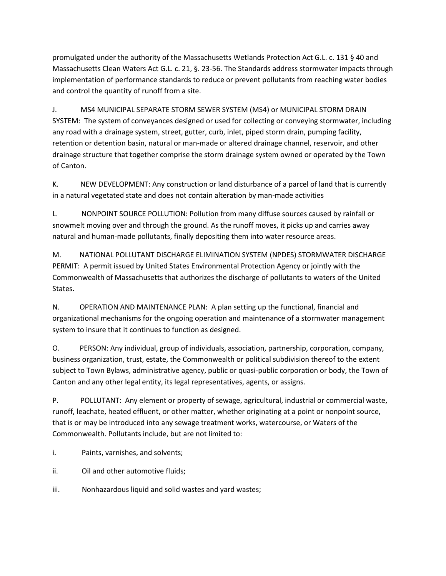promulgated under the authority of the Massachusetts Wetlands Protection Act G.L. c. 131 § 40 and Massachusetts Clean Waters Act G.L. c. 21, §. 23-56. The Standards address stormwater impacts through implementation of performance standards to reduce or prevent pollutants from reaching water bodies and control the quantity of runoff from a site.

J. MS4 MUNICIPAL SEPARATE STORM SEWER SYSTEM (MS4) or MUNICIPAL STORM DRAIN SYSTEM: The system of conveyances designed or used for collecting or conveying stormwater, including any road with a drainage system, street, gutter, curb, inlet, piped storm drain, pumping facility, retention or detention basin, natural or man-made or altered drainage channel, reservoir, and other drainage structure that together comprise the storm drainage system owned or operated by the Town of Canton.

K. NEW DEVELOPMENT: Any construction or land disturbance of a parcel of land that is currently in a natural vegetated state and does not contain alteration by man-made activities

L. NONPOINT SOURCE POLLUTION: Pollution from many diffuse sources caused by rainfall or snowmelt moving over and through the ground. As the runoff moves, it picks up and carries away natural and human-made pollutants, finally depositing them into water resource areas.

M. NATIONAL POLLUTANT DISCHARGE ELIMINATION SYSTEM (NPDES) STORMWATER DISCHARGE PERMIT: A permit issued by United States Environmental Protection Agency or jointly with the Commonwealth of Massachusetts that authorizes the discharge of pollutants to waters of the United States.

N. OPERATION AND MAINTENANCE PLAN: A plan setting up the functional, financial and organizational mechanisms for the ongoing operation and maintenance of a stormwater management system to insure that it continues to function as designed.

O. PERSON: Any individual, group of individuals, association, partnership, corporation, company, business organization, trust, estate, the Commonwealth or political subdivision thereof to the extent subject to Town Bylaws, administrative agency, public or quasi-public corporation or body, the Town of Canton and any other legal entity, its legal representatives, agents, or assigns.

P. POLLUTANT: Any element or property of sewage, agricultural, industrial or commercial waste, runoff, leachate, heated effluent, or other matter, whether originating at a point or nonpoint source, that is or may be introduced into any sewage treatment works, watercourse, or Waters of the Commonwealth. Pollutants include, but are not limited to:

i. Paints, varnishes, and solvents;

ii. Oil and other automotive fluids;

iii. Nonhazardous liquid and solid wastes and yard wastes;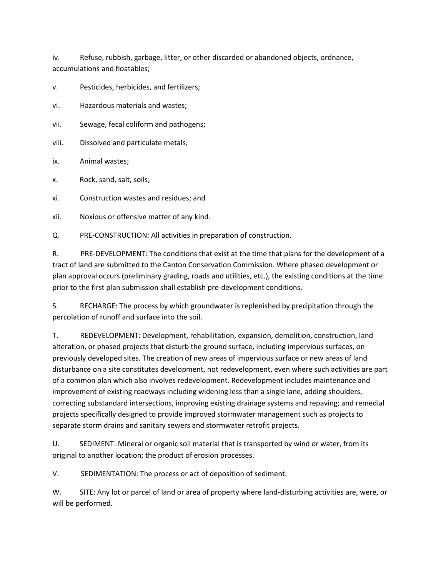iv. Refuse, rubbish, garbage, litter, or other discarded or abandoned objects, ordnance, accumulations and floatables;

v. Pesticides, herbicides, and fertilizers;

vi. Hazardous materials and wastes;

- vii. Sewage, fecal coliform and pathogens;
- viii. Dissolved and particulate metals;
- ix. Animal wastes;
- x. Rock, sand, salt, soils;
- xi. Construction wastes and residues; and

xii. Noxious or offensive matter of any kind.

Q. PRE-CONSTRUCTION: All activities in preparation of construction.

R. PRE-DEVELOPMENT: The conditions that exist at the time that plans for the development of a tract of land are submitted to the Canton Conservation Commission. Where phased development or plan approval occurs (preliminary grading, roads and utilities, etc.), the existing conditions at the time prior to the first plan submission shall establish pre-development conditions.

S. RECHARGE: The process by which groundwater is replenished by precipitation through the percolation of runoff and surface into the soil.

T. REDEVELOPMENT: Development, rehabilitation, expansion, demolition, construction, land alteration, or phased projects that disturb the ground surface, including impervious surfaces, on previously developed sites. The creation of new areas of impervious surface or new areas of land disturbance on a site constitutes development, not redevelopment, even where such activities are part of a common plan which also involves redevelopment. Redevelopment includes maintenance and improvement of existing roadways including widening less than a single lane, adding shoulders, correcting substandard intersections, improving existing drainage systems and repaving; and remedial projects specifically designed to provide improved stormwater management such as projects to separate storm drains and sanitary sewers and stormwater retrofit projects.

U. SEDIMENT: Mineral or organic soil material that is transported by wind or water, from its original to another location; the product of erosion processes.

V. SEDIMENTATION: The process or act of deposition of sediment.

W. SITE: Any lot or parcel of land or area of property where land-disturbing activities are, were, or will be performed.